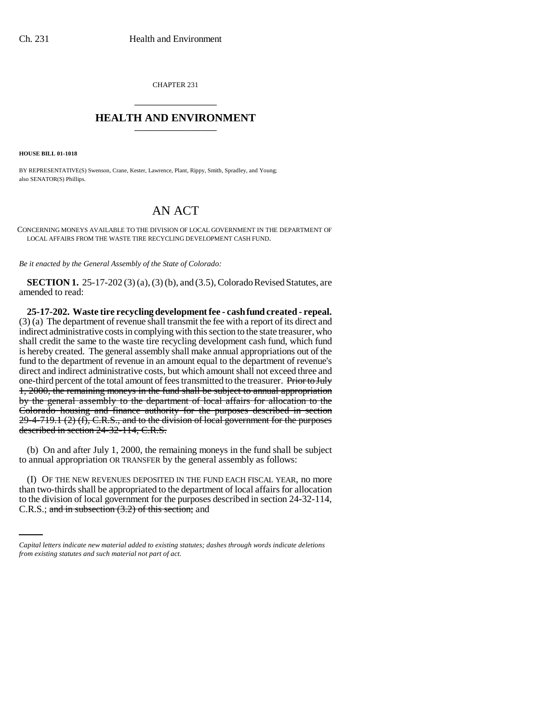CHAPTER 231 \_\_\_\_\_\_\_\_\_\_\_\_\_\_\_

## **HEALTH AND ENVIRONMENT** \_\_\_\_\_\_\_\_\_\_\_\_\_\_\_

**HOUSE BILL 01-1018**

BY REPRESENTATIVE(S) Swenson, Crane, Kester, Lawrence, Plant, Rippy, Smith, Spradley, and Young; also SENATOR(S) Phillips.

## AN ACT

CONCERNING MONEYS AVAILABLE TO THE DIVISION OF LOCAL GOVERNMENT IN THE DEPARTMENT OF LOCAL AFFAIRS FROM THE WASTE TIRE RECYCLING DEVELOPMENT CASH FUND.

*Be it enacted by the General Assembly of the State of Colorado:*

**SECTION 1.** 25-17-202 (3) (a), (3) (b), and (3.5), Colorado Revised Statutes, are amended to read:

**25-17-202. Waste tire recycling development fee - cash fund created - repeal.** (3) (a) The department of revenue shall transmit the fee with a report of its direct and indirect administrative costs in complying with this section to the state treasurer, who shall credit the same to the waste tire recycling development cash fund, which fund is hereby created. The general assembly shall make annual appropriations out of the fund to the department of revenue in an amount equal to the department of revenue's direct and indirect administrative costs, but which amount shall not exceed three and one-third percent of the total amount of fees transmitted to the treasurer. Prior to July 1, 2000, the remaining moneys in the fund shall be subject to annual appropriation by the general assembly to the department of local affairs for allocation to the Colorado housing and finance authority for the purposes described in section 29-4-719.1 (2) (f), C.R.S., and to the division of local government for the purposes described in section 24-32-114, C.R.S.

(b) On and after July 1, 2000, the remaining moneys in the fund shall be subject to annual appropriation OR TRANSFER by the general assembly as follows:

than two-thirds shall be appropriated to the department of local affairs for allocation (I) OF THE NEW REVENUES DEPOSITED IN THE FUND EACH FISCAL YEAR, no more to the division of local government for the purposes described in section 24-32-114, C.R.S.; and in subsection  $(3.2)$  of this section; and

*Capital letters indicate new material added to existing statutes; dashes through words indicate deletions from existing statutes and such material not part of act.*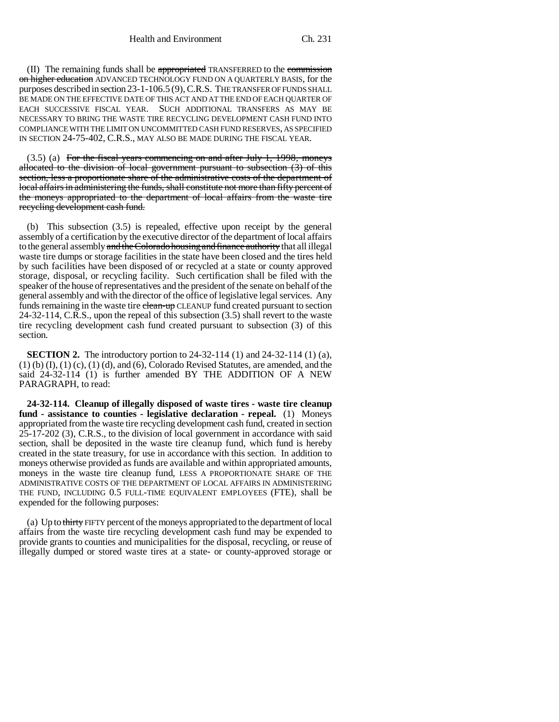(II) The remaining funds shall be appropriated TRANSFERRED to the commission on higher education ADVANCED TECHNOLOGY FUND ON A OUARTERLY BASIS, for the purposes described in section 23-1-106.5 (9), C.R.S. THE TRANSFER OF FUNDS SHALL BE MADE ON THE EFFECTIVE DATE OF THIS ACT AND AT THE END OF EACH QUARTER OF EACH SUCCESSIVE FISCAL YEAR. SUCH ADDITIONAL TRANSFERS AS MAY BE NECESSARY TO BRING THE WASTE TIRE RECYCLING DEVELOPMENT CASH FUND INTO COMPLIANCE WITH THE LIMIT ON UNCOMMITTED CASH FUND RESERVES, AS SPECIFIED IN SECTION 24-75-402, C.R.S., MAY ALSO BE MADE DURING THE FISCAL YEAR.

 $(3.5)$  (a) For the fiscal years commencing on and after July 1, 1998, moneys allocated to the division of local government pursuant to subsection (3) of this section, less a proportionate share of the administrative costs of the department of local affairs in administering the funds, shall constitute not more than fifty percent of the moneys appropriated to the department of local affairs from the waste tire recycling development cash fund.

(b) This subsection (3.5) is repealed, effective upon receipt by the general assembly of a certification by the executive director of the department of local affairs to the general assembly and the Colorado housing and finance authority that all illegal waste tire dumps or storage facilities in the state have been closed and the tires held by such facilities have been disposed of or recycled at a state or county approved storage, disposal, or recycling facility. Such certification shall be filed with the speaker of the house of representatives and the president of the senate on behalf of the general assembly and with the director of the office of legislative legal services. Any funds remaining in the waste tire elean-up CLEANUP fund created pursuant to section 24-32-114, C.R.S., upon the repeal of this subsection (3.5) shall revert to the waste tire recycling development cash fund created pursuant to subsection (3) of this section.

**SECTION 2.** The introductory portion to 24-32-114 (1) and 24-32-114 (1) (a),  $(1)$  (b)  $(I)$ ,  $(1)$   $(c)$ ,  $(1)$   $(d)$ , and  $(6)$ , Colorado Revised Statutes, are amended, and the said 24-32-114 (1) is further amended BY THE ADDITION OF A NEW PARAGRAPH, to read:

**24-32-114. Cleanup of illegally disposed of waste tires - waste tire cleanup fund - assistance to counties - legislative declaration - repeal.** (1) Moneys appropriated from the waste tire recycling development cash fund, created in section 25-17-202 (3), C.R.S., to the division of local government in accordance with said section, shall be deposited in the waste tire cleanup fund, which fund is hereby created in the state treasury, for use in accordance with this section. In addition to moneys otherwise provided as funds are available and within appropriated amounts, moneys in the waste tire cleanup fund, LESS A PROPORTIONATE SHARE OF THE ADMINISTRATIVE COSTS OF THE DEPARTMENT OF LOCAL AFFAIRS IN ADMINISTERING THE FUND, INCLUDING 0.5 FULL-TIME EQUIVALENT EMPLOYEES (FTE), shall be expended for the following purposes:

(a) Up to thirty FIFTY percent of the moneys appropriated to the department of local affairs from the waste tire recycling development cash fund may be expended to provide grants to counties and municipalities for the disposal, recycling, or reuse of illegally dumped or stored waste tires at a state- or county-approved storage or